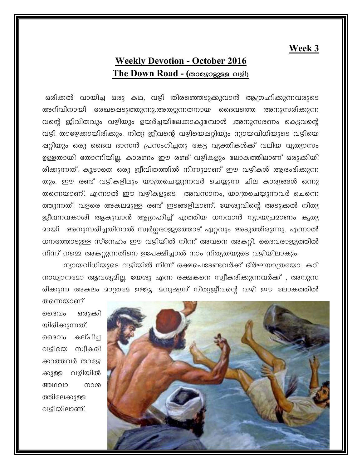## Week 3

## **Weekly Devotion - October 2016** The Down Road - (താഴോട്ടുള്ള വഴി)

ഒരിക്കൽ വായിച്ച ഒരു കഥ, വഴി തിരഞ്ഞെടുക്കുവാൻ ആഗ്രഹിക്കുന്നവരുടെ അറിവിനായി രേഖപ്പെടുത്തുന്നു.അത്യുന്നതനായ ദൈവത്തെ അനുസരിക്കുന്ന വന്റെ ജീവിതവും വഴിയും ഉയർച്ചയിലേക്കാകുമ്പോൾ ,അനുസരണം കെട്ടവന്റെ വഴി താഴേക്കായിരിക്കും. നിത്യ ജീവന്റെ വഴിയെപ്പറ്റിയും ന്യായവിധിയുടെ വഴിയെ ഷറ്റിയും ഒരു ദൈവ ദാസൻ പ്രസംഗിച്ചതു കേട്ട വ്യക്തികൾക്ക് വലിയ വ്യത്യാസം ഉള്ളതായി തോന്നിയില്ല. കാരണം ഈ രണ്ട് വഴികളും ലോകത്തിലാണ് ഒരുക്കിയി രിക്കുന്നത്, കൂടാതെ ഒരു ജീവിതത്തിൽ നിന്നുമാണ് ഈ വഴികൾ ആരംഭിക്കുന്ന തും. ഈ രണ്ട് വഴികളിലും യാത്രചെയ്യുന്നവർ ചെയ്യുന്ന ചില കാര്യങ്ങൾ ഒന്നു തന്നെയാണ്. എന്നാൽ ഈ വഴികളുടെ അവസാനം, യാത്രചെയ്യുന്നവർ ചെന്നെ ത്തുന്നത്, വളരെ അകലമുള്ള രണ്ട് ഇടങ്ങളിലാണ്. യേശുവിന്റെ അടുക്കൽ നിത്യ ജീവനവകാശി ആകുവാൻ ആഗ്രഹിച്ച് എത്തിയ ധനവാൻ ന്യായപ്രമാണം കൃത്യ <u>ാായി അനുസരിച്ചതിനാൽ സ്വർഗ്ഗരാജ്യത്തോട് ഏറ്റവും അടുത്തിരുന്നു. എന്നാൽ</u> ധനത്തോടുള്ള സ്നേഹം ഈ വഴിയിൽ നിന്ന് അവനെ അകറ്റി. ദൈവരാജ്യത്തിൽ നിന്ന് നമ്മെ അകറ്റുന്നതിനെ ഉപേക്ഷിച്ചാൽ നാം നിത്യതയുടെ വഴിയിലാകും.

ന്യായവിധിയുടെ വഴിയിൽ നിന്ന് രക്ഷപെടേണ്ടവർക്ക് ദീർഘയാത്രയോ, കഠി നാധ്വാനമോ ആവശ്യമില്ല. യേശു എന്ന രക്ഷകനെ സ്വീകരിക്കുന്നവർക്ക് , അനുസ രിക്കുന്ന അകലം മാത്രമേ ഉള്ളൂ. മനുഷ്യന് നിത്യജീവന്റെ വഴി ഈ ലോകത്തിൽ

മെദവം ഒരുക്കി യിരിക്കുന്നത്. ദൈവം കല്പിച വഴിയെ സ്വീകരി ക്കാത്തവർ താഴ്യേ ക്കുള്ള വഴിയിൽ അഥവാ നാശ ത്തിലേക്കുള്ള വഴിയിലാണ്.

തന്നെയാണ്

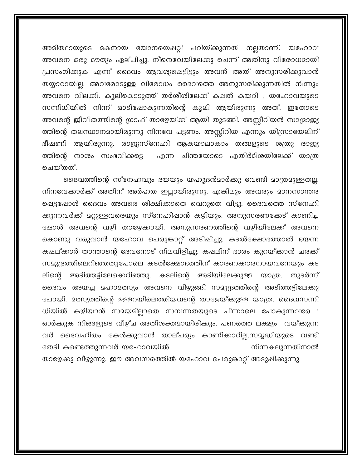അമിത്ഥായുടെ മകനായ യോനയെഷറ്റി പഠിയ്ക്കുന്നത് നല്ലതാണ്. യഹോവ അവനെ ഒരു ദൗത്യം ഏല്പിച്ചു. നീനെവേയിലേക്കു ചെന്ന് അതിനു വിരോധമായി പ്രസംഗിക്കുക എന്ന് ദൈവം ആവശ്യപ്പെട്ടിട്ടും അവൻ അത് അനുസരിക്കുവാൻ തയ്യാറായില്ല. അവരോടുള്ള വിരോധം ദൈവത്തെ അനുസരിക്കുന്നതിൽ നിന്നും അവനെ വിലക്കി. കൂലികൊടുത്ത് തർശീശിലേക്ക് കപ്പൽ കയറി , യഹോവയുടെ സന്നിധിയിൽ നിന്ന് ഓടിഷോകുന്നതിന്റെ കൂലി ആയിരുന്നു അത്. ഇതോടെ അവന്റെ ജീവിതത്തിന്റെ ഗ്രാഫ് താഴേയ്ക്ക് ആയി തുടങ്ങി. അസ്സീറിയൻ സാമ്രാജ്യ ത്തിന്റെ തലസ്ഥാനമായിരുന്നു നിനവേ പട്ടണം. അസ്റ്റീറിയ എന്നും യിസ്രായേലിന് ഭീഷണി ആയിരുന്നു. രാജ്യസ്നേഹി ആകയാലാകാം തങ്ങളുടെ ശത്രു രാജ്യ ത്തിന്റെ നാശം സംഭവിക്കട്ടെ എന്ന ചിന്തയോടെ എതിർദിശയിലേക്ക് യാത്ര ചെയ്തത്.

ദൈവത്തിന്റെ സ്നേഹവും ദയയും യഹൂദൻമാർക്കു വേണ്ടി മാത്രമുള്ളതല്ല. നിനവേക്കാർക്ക് അതിന് അർഹത ഇല്ലായിരുന്നു. എങ്കിലും അവരും മാനസാന്തര പ്പെട്ടപ്പോൾ ദൈവം അവരെ ശിക്ഷിക്കാതെ വെറുതെ വിട്ടു. ദൈവത്തെ സ്നേഹി ക്കുന്നവർക്ക് മറ്റുള്ളവരെയും സ്നേഹിഷാൻ കഴിയും. അനുസരണക്കേട് കാണിച്ച ഷോൾ അവന്റെ വഴി താഴേക്കായി. അനുസരണത്തിന്റെ വഴിയിലേക്ക് അവനെ കൊണ്ടു വരുവാൻ യഹോവ പെരുകാറ്റ് അടിപ്പിച്ചു. കടൽക്ഷോഭത്താൽ ഭയന്ന കഷല്ക്കാർ താന്താന്റെ ദേവനോട് നിലവിളിച്ചു. കഷലിന് ഭാരം കുറയ്ക്കാൻ ചരക്ക് സമുദ്രത്തിലെറിഞ്ഞതുപോലെ കടൽക്ഷോഭത്തിന് കാരണക്കാരനായവനേയും കട ലിന്റെ അടിത്തട്ടിലേക്കെറിഞ്ഞു. കടലിന്റെ അടിയിലേക്കുള്ള യാത്ര. തുടർന്ന് ദൈവം അയച്ച മഹാമത്സ്യം അവനെ വിഴുങ്ങി സമുദ്രത്തിന്റെ അടിത്തട്ടിലേക്കു പോയി. മത്സ്യത്തിന്റെ ഉള്ളറയിലെത്തിയവന്റെ താഴേയ്ക്കുള്ള യാത്ര. ദൈവസന്നി ധിയിൽ കഴിയാൻ സമയമില്ലാതെ സമ്പന്നതയുടെ പിന്നാലെ പോകുന്നവരേ ! ഓർക്കുക നിങ്ങളുടെ വീഴ്ച അതിശക്തമായിരിക്കും. പണത്തെ ലക്ഷ്യം വയ്ക്കുന്ന വർ ദൈവഹിതം കേൾക്കുവാൻ താല്പര്യം കാണിക്കാറില്ല.സമൃദ്ധിയുടെ വണ്ടി തേടി കണ്ടെത്തുന്നവർ യഹോവയിൽ നിന്നകലുന്നതിനാൽ താഴേക്കു വീഴുന്നു. ഈ അവസരത്തിൽ യഹോവ പെരുകാറ്റ് അടുഷിക്കുന്നു.